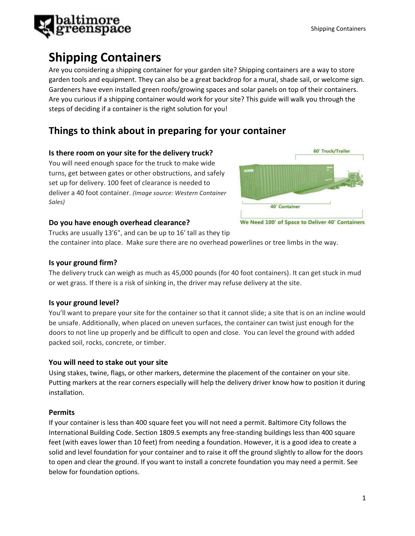

# **Shipping Containers**

Are you considering a shipping container for your garden site? Shipping containers are a way to store garden tools and equipment. They can also be a great backdrop for a mural, shade sail, or welcome sign. Gardeners have even installed green roofs/growing spaces and solar panels on top of their containers. Are you curious if a shipping container would work for your site? This guide will walk you through the steps of deciding if a container is the right solution for you!

## **Things to think about in preparing for your container**

## **Is there room on your site for the delivery truck?**

You will need enough space for the truck to make wide turns, get between gates or other obstructions, and safely set up for delivery. 100 feet of clearance is needed to deliver a 40 foot container. *(Image source: Western Container Sales)*



## **Do you have enough overhead clearance?**

Trucks are usually 13'6", and can be up to 16' tall as they tip the container into place. Make sure there are no overhead powerlines or tree limbs in the way.

## **Is your ground firm?**

The delivery truck can weigh as much as 45,000 pounds (for 40 foot containers). It can get stuck in mud or wet grass. If there is a risk of sinking in, the driver may refuse delivery at the site.

## **Is your ground level?**

You'll want to prepare your site for the container so that it cannot slide; a site that is on an incline would be unsafe. Additionally, when placed on uneven surfaces, the container can twist just enough for the doors to not line up properly and be difficult to open and close. You can level the ground with added packed soil, rocks, concrete, or timber.

## **You will need to stake out your site**

Using stakes, twine, flags, or other markers, determine the placement of the container on your site. Putting markers at the rear corners especially will help the delivery driver know how to position it during installation.

## **Permits**

If your container is less than 400 square feet you will not need a permit. Baltimore City follows the International Building Code. Section 1809.5 exempts any free-standing buildings less than 400 square feet (with eaves lower than 10 feet) from needing a foundation. However, it is a good idea to create a solid and level foundation for your container and to raise it off the ground slightly to allow for the doors to open and clear the ground. If you want to install a concrete foundation you may need a permit. See below for foundation options.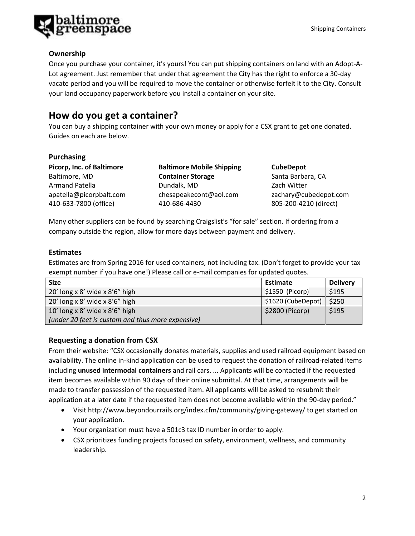

### **Ownership**

Once you purchase your container, it's yours! You can put shipping containers on land with an Adopt-A-Lot agreement. Just remember that under that agreement the City has the right to enforce a 30-day vacate period and you will be required to move the container or otherwise forfeit it to the City. Consult your land occupancy paperwork before you install a container on your site.

## **How do you get a container?**

You can buy a shipping container with your own money or apply for a CSX grant to get one donated. Guides on each are below.

#### **Purchasing**

**Picorp, Inc. of Baltimore** Baltimore, MD Armand Patella apatella@picorpbalt.com 410-633-7800 (office)

**Baltimore Mobile Shipping Container Storage** Dundalk, MD [chesapeakecont@aol.com](mailto:chesapeakecont%40aol.com) 410-686-4430

**CubeDepot** Santa Barbara, CA Zach Witter [zachary@cubedepot.com](mailto:zachary@cubedepot.com) 805-200-4210 (direct)

Many other suppliers can be found by searching Craigslist's "for sale" section. If ordering from a company outside the region, allow for more days between payment and delivery.

#### **Estimates**

Estimates are from Spring 2016 for used containers, not including tax. (Don't forget to provide your tax exempt number if you have one!) Please call or e-mail companies for updated quotes.

| <b>Size</b>                                       | Estimate           | <b>Delivery</b> |
|---------------------------------------------------|--------------------|-----------------|
| 20' long x 8' wide x 8'6" high                    | $$1550$ (Picorp)   | \$195           |
| 20' long x 8' wide x $8'6''$ high                 | \$1620 (CubeDepot) | \$250           |
| 10' long x 8' wide x 8'6" high                    | \$2800 (Picorp)    | \$195           |
| (under 20 feet is custom and thus more expensive) |                    |                 |

## **Requesting a donation from CSX**

From their website: "CSX occasionally donates materials, supplies and used railroad equipment based on availability. The online in-kind application can be used to request the donation of railroad-related items including **unused intermodal containers** and rail cars. ... Applicants will be contacted if the requested item becomes available within 90 days of their online submittal. At that time, arrangements will be made to transfer possession of the requested item. All applicants will be asked to resubmit their application at a later date if the requested item does not become available within the 90-day period."

- Visit<http://www.beyondourrails.org/index.cfm/community/giving-gateway/> to get started on your application.
- Your organization must have a 501c3 tax ID number in order to apply.
- CSX prioritizes funding projects focused on safety, environment, wellness, and community leadership.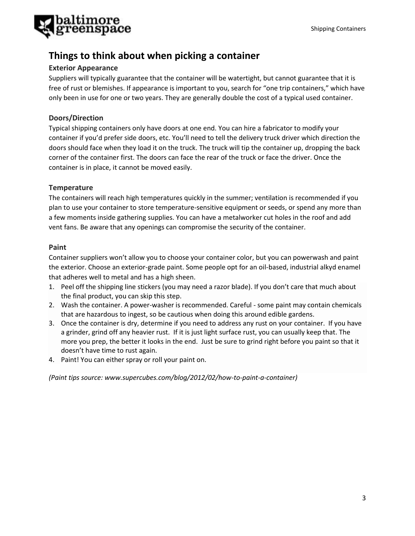

## **Things to think about when picking a container**

### **Exterior Appearance**

Suppliers will typically guarantee that the container will be watertight, but cannot guarantee that it is free of rust or blemishes. If appearance is important to you, search for "one trip containers," which have only been in use for one or two years. They are generally double the cost of a typical used container.

## **Doors/Direction**

Typical shipping containers only have doors at one end. You can hire a fabricator to modify your container if you'd prefer side doors, etc. You'll need to tell the delivery truck driver which direction the doors should face when they load it on the truck. The truck will tip the container up, dropping the back corner of the container first. The doors can face the rear of the truck or face the driver. Once the container is in place, it cannot be moved easily.

#### **Temperature**

The containers will reach high temperatures quickly in the summer; ventilation is recommended if you plan to use your container to store temperature-sensitive equipment or seeds, or spend any more than a few moments inside gathering supplies. You can have a metalworker cut holes in the roof and add vent fans. Be aware that any openings can compromise the security of the container.

#### **Paint**

Container suppliers won't allow you to choose your container color, but you can powerwash and paint the exterior. Choose an exterior-grade paint. Some people opt for an oil-based, industrial alkyd enamel that adheres well to metal and has a high sheen.

- 1. Peel off the shipping line stickers (you may need a razor blade). If you don't care that much about the final product, you can skip this step.
- 2. Wash the container. A power-washer is recommended. Careful some paint may contain chemicals that are hazardous to ingest, so be cautious when doing this around edible gardens.
- 3. Once the container is dry, determine if you need to address any rust on your container. If you have a grinder, grind off any heavier rust. If it is just light surface rust, you can usually keep that. The more you prep, the better it looks in the end. Just be sure to grind right before you paint so that it doesn't have time to rust again.
- 4. Paint! You can either spray or roll your paint on.

*(Paint tips source: www.supercubes.com/blog/2012/02/how-to-paint-a-container)*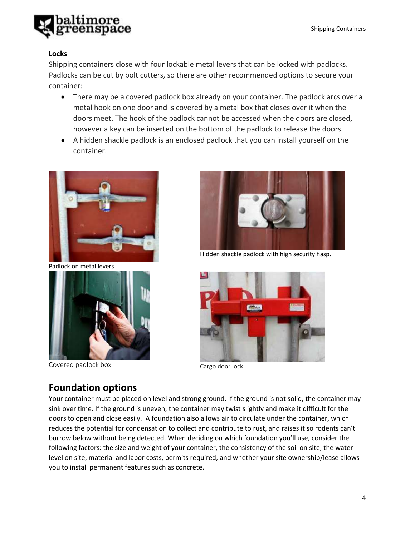

## **Locks**

Shipping containers close with four lockable metal levers that can be locked with padlocks. Padlocks can be cut by bolt cutters, so there are other recommended options to secure your container:

- There may be a covered padlock box already on your container. The padlock arcs over a metal hook on one door and is covered by a metal box that closes over it when the doors meet. The hook of the padlock cannot be accessed when the doors are closed, however a key can be inserted on the bottom of the padlock to release the doors.
- A hidden shackle padlock is an enclosed padlock that you can install yourself on the container.



Padlock on metal levers



Covered padlock box Cargo door lock



Hidden shackle padlock with high security hasp.



## **Foundation options**

Your container must be placed on level and strong ground. If the ground is not solid, the container may sink over time. If the ground is uneven, the container may twist slightly and make it difficult for the doors to open and close easily. A foundation also allows air to circulate under the container, which reduces the potential for condensation to collect and contribute to rust, and raises it so rodents can't burrow below without being detected. When deciding on which foundation you'll use, consider the following factors: the size and weight of your container, the consistency of the soil on site, the water level on site, material and labor costs, permits required, and whether your site ownership/lease allows you to install permanent features such as concrete.